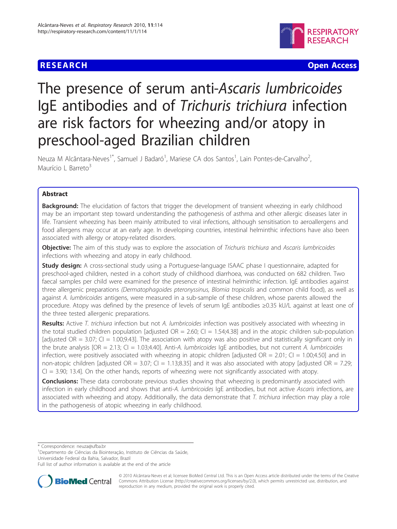## **RESEARCH CHRISTIAN CONSUMING A RESEARCH** CHRISTIAN CONSUMING A RESEARCH CHRISTIAN CONSUMING A RESEARCH CHRISTIAN



# The presence of serum anti-Ascaris lumbricoides IgE antibodies and of Trichuris trichiura infection are risk factors for wheezing and/or atopy in preschool-aged Brazilian children

Neuza M Alcântara-Neves<sup>1\*</sup>, Samuel J Badaró<sup>1</sup>, Mariese CA dos Santos<sup>1</sup>, Lain Pontes-de-Carvalho<sup>2</sup> , Maurício L Barreto<sup>3</sup>

## Abstract

**Background:** The elucidation of factors that trigger the development of transient wheezing in early childhood may be an important step toward understanding the pathogenesis of asthma and other allergic diseases later in life. Transient wheezing has been mainly attributed to viral infections, although sensitisation to aeroallergens and food allergens may occur at an early age. In developing countries, intestinal helminthic infections have also been associated with allergy or atopy-related disorders.

Objective: The aim of this study was to explore the association of Trichuris trichiura and Ascaris lumbricoides infections with wheezing and atopy in early childhood.

**Study design:** A cross-sectional study using a Portuguese-language ISAAC phase I questionnaire, adapted for preschool-aged children, nested in a cohort study of childhood diarrhoea, was conducted on 682 children. Two faecal samples per child were examined for the presence of intestinal helminthic infection. IgE antibodies against three allergenic preparations (Dermatophagoides pteronyssinus, Blomia tropicalis and common child food), as well as against A. lumbricoides antigens, were measured in a sub-sample of these children, whose parents allowed the procedure. Atopy was defined by the presence of levels of serum IgE antibodies ≥0.35 kU/L against at least one of the three tested allergenic preparations.

Results: Active T. trichiura infection but not A. lumbricoides infection was positively associated with wheezing in the total studied children population [adjusted  $OR = 2.60$ ;  $CI = 1.54;4.38$ ] and in the atopic children sub-population [adjusted  $OR = 3.07$ ;  $Cl = 1.00;9.43$ ]. The association with atopy was also positive and statistically significant only in the brute analysis [OR = 2.13; CI = 1.03;4.40]. Anti-A. lumbricoides IgE antibodies, but not current A. lumbricoides infection, were positively associated with wheezing in atopic children [adjusted OR = 2.01; CI = 1.00;4.50] and in non-atopic children [adjusted OR =  $3.07$ ; CI = 1.13;8.35] and it was also associated with atopy [adjusted OR = 7.29;  $Cl = 3.90; 13.4$ ]. On the other hands, reports of wheezing were not significantly associated with atopy.

**Conclusions:** These data corroborate previous studies showing that wheezing is predominantly associated with infection in early childhood and shows that anti-A. lumbricoides IqE antibodies, but not active Ascaris infections, are associated with wheezing and atopy. Additionally, the data demonstrate that T. trichiura infection may play a role in the pathogenesis of atopic wheezing in early childhood.

\* Correspondence: [neuza@ufba.br](mailto:neuza@ufba.br)

<sup>1</sup> Departmento de Ciências da Biointeração, Instituto de Ciências da Saúde, Universidade Federal da Bahia, Salvador, Brazil

Full list of author information is available at the end of the article



© 2010 Alcântara-Neves et al; licensee BioMed Central Ltd. This is an Open Access article distributed under the terms of the Creative Commons Attribution License [\(http://creativecommons.org/licenses/by/2.0](http://creativecommons.org/licenses/by/2.0)), which permits unrestricted use, distribution, and reproduction in any medium, provided the original work is properly cited.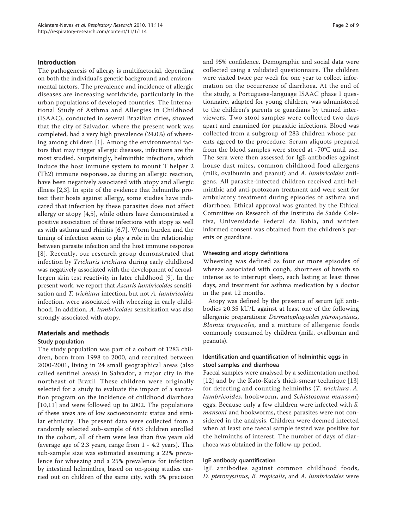## Introduction

The pathogenesis of allergy is multifactorial, depending on both the individual's genetic background and environmental factors. The prevalence and incidence of allergic diseases are increasing worldwide, particularly in the urban populations of developed countries. The International Study of Asthma and Allergies in Childhood (ISAAC), conducted in several Brazilian cities, showed that the city of Salvador, where the present work was completed, had a very high prevalence (24.0%) of wheezing among children [[1\]](#page-7-0). Among the environmental factors that may trigger allergic diseases, infections are the most studied. Surprisingly, helminthic infections, which induce the host immune system to mount T helper 2 (Th2) immune responses, as during an allergic reaction, have been negatively associated with atopy and allergic illness [\[2](#page-7-0),[3\]](#page-7-0). In spite of the evidence that helminths protect their hosts against allergy, some studies have indicated that infection by these parasites does not affect allergy or atopy [\[4](#page-7-0),[5\]](#page-7-0), while others have demonstrated a positive association of these infections with atopy as well as with asthma and rhinitis [[6,7](#page-7-0)]. Worm burden and the timing of infection seem to play a role in the relationship between parasite infection and the host immune response [[8\]](#page-7-0). Recently, our research group demonstrated that infection by Trichuris trichiura during early childhood was negatively associated with the development of aeroallergen skin test reactivity in later childhood [[9](#page-7-0)]. In the present work, we report that Ascaris lumbricoides sensitisation and *T. trichiura* infection, but not *A. lumbricoides* infection, were associated with wheezing in early childhood. In addition, A. lumbricoides sensitisation was also strongly associated with atopy.

## Materials and methods

### Study population

The study population was part of a cohort of 1283 children, born from 1998 to 2000, and recruited between 2000-2001, living in 24 small geographical areas (also called sentinel areas) in Salvador, a major city in the northeast of Brazil. These children were originally selected for a study to evaluate the impact of a sanitation program on the incidence of childhood diarrhoea [[10,11](#page-7-0)] and were followed up to 2002. The populations of these areas are of low socioeconomic status and similar ethnicity. The present data were collected from a randomly selected sub-sample of 683 children enrolled in the cohort, all of them were less than five years old (average age of 2.3 years, range from 1 - 4.2 years). This sub-sample size was estimated assuming a 22% prevalence for wheezing and a 25% prevalence for infection by intestinal helminthes, based on on-going studies carried out on children of the same city, with 3% precision and 95% confidence. Demographic and social data were collected using a validated questionnaire. The children were visited twice per week for one year to collect information on the occurrence of diarrhoea. At the end of the study, a Portuguese-language ISAAC phase I questionnaire, adapted for young children, was administered to the children's parents or guardians by trained interviewers. Two stool samples were collected two days apart and examined for parasitic infections. Blood was collected from a subgroup of 283 children whose parents agreed to the procedure. Serum aliquots prepared from the blood samples were stored at -70°C until use. The sera were then assessed for IgE antibodies against house dust mites, common childhood food allergens (milk, ovalbumin and peanut) and A. lumbricoides antigens. All parasite-infected children received anti-helminthic and anti-protozoan treatment and were sent for ambulatory treatment during episodes of asthma and diarrhoea. Ethical approval was granted by the Ethical Committee on Research of the Instituto de Saúde Coletiva, Universidade Federal da Bahia, and written informed consent was obtained from the children's parents or guardians.

#### Wheezing and atopy definitions

Wheezing was defined as four or more episodes of wheeze associated with cough, shortness of breath so intense as to interrupt sleep, each lasting at least three days, and treatment for asthma medication by a doctor in the past 12 months.

Atopy was defined by the presence of serum IgE antibodies ≥0.35 kU/L against at least one of the following allergenic preparations: Dermatophagoides pteronyssinus, Blomia tropicalis, and a mixture of allergenic foods commonly consumed by children (milk, ovalbumin and peanuts).

## Identification and quantification of helminthic eggs in stool samples and diarrhoea

Faecal samples were analysed by a sedimentation method [[12](#page-7-0)] and by the Kato-Katz's thick-smear technique [\[13](#page-7-0)] for detecting and counting helminths (T. trichiura, A. lumbricoides, hookworm, and Schistosoma mansoni) eggs. Because only a few children were infected with S. mansoni and hookworms, these parasites were not considered in the analysis. Children were deemed infected when at least one faecal sample tested was positive for the helminths of interest. The number of days of diarrhoea was obtained in the follow-up period.

#### IgE antibody quantification

IgE antibodies against common childhood foods, D. pteronyssinus, B. tropicalis, and A. lumbricoides were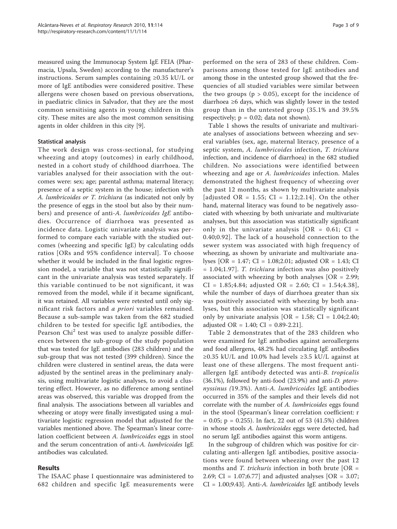measured using the Immunocap System IgE FEIA (Pharmacia, Upsala, Sweden) according to the manufacturer's instructions. Serum samples containing ≥0.35 kU/L or more of IgE antibodies were considered positive. These allergens were chosen based on previous observations, in paediatric clinics in Salvador, that they are the most common sensitising agents in young children in this city. These mites are also the most common sensitising agents in older children in this city [[9](#page-7-0)].

## Statistical analysis

The work design was cross-sectional, for studying wheezing and atopy (outcomes) in early childhood, nested in a cohort study of childhood diarrhoea. The variables analysed for their association with the outcomes were: sex; age; parental asthma; maternal literacy; presence of a septic system in the house; infection with A. lumbricoides or T. trichiura (as indicated not only by the presence of eggs in the stool but also by their numbers) and presence of anti-A. lumbricoides IgE antibodies. Occurrence of diarrhoea was presented as incidence data. Logistic univariate analysis was performed to compare each variable with the studied outcomes (wheezing and specific IgE) by calculating odds ratios [ORs and 95% confidence interval]. To choose whether it would be included in the final logistic regression model, a variable that was not statistically significant in the univariate analysis was tested separately. If this variable continued to be not significant, it was removed from the model, while if it became significant, it was retained. All variables were retested until only significant risk factors and a priori variables remained. Because a sub-sample was taken from the 682 studied children to be tested for specific IgE antibodies, the Pearson Chi<sup>2</sup> test was used to analyze possible differences between the sub-group of the study population that was tested for IgE antibodies (283 children) and the sub-group that was not tested (399 children). Since the children were clustered in sentinel areas, the data were adjusted by the sentinel areas in the preliminary analysis, using multivariate logistic analyses, to avoid a clustering effect. However, as no difference among sentinel areas was observed, this variable was dropped from the final analysis. The associations between all variables and wheezing or atopy were finally investigated using a multivariate logistic regression model that adjusted for the variables mentioned above. The Spearman's linear correlation coefficient between A. lumbricoides eggs in stool and the serum concentration of anti-A. lumbricoides IgE antibodies was calculated.

## Results

The ISAAC phase I questionnaire was administered to 682 children and specific IgE measurements were

performed on the sera of 283 of these children. Comparisons among those tested for IgE antibodies and among those in the untested group showed that the frequencies of all studied variables were similar between the two groups ( $p > 0.05$ ), except for the incidence of diarrhoea ≥6 days, which was slightly lower in the tested group than in the untested group (35.1% and 39.5% respectively;  $p = 0.02$ ; data not shown).

Table [1](#page-3-0) shows the results of univariate and multivariate analyses of associations between wheezing and several variables (sex, age, maternal literacy, presence of a septic system, A. lumbricoides infection, T. trichiura infection, and incidence of diarrhoea) in the 682 studied children. No associations were identified between wheezing and age or A. lumbricoides infection. Males demonstrated the highest frequency of wheezing over the past 12 months, as shown by multivariate analysis [adjusted OR = 1.55; CI = 1.12;2.14]. On the other hand, maternal literacy was found to be negatively associated with wheezing by both univariate and multivariate analyses, but this association was statistically significant only in the univariate analysis  $[OR = 0.61; CI =$ 0.40;0.92]. The lack of a household connection to the sewer system was associated with high frequency of wheezing, as shown by univariate and multivariate analyses [OR = 1.47; CI = 1.08;2.01; adjusted OR = 1.43; CI = 1.04;1.97]. T. trichiura infection was also positively associated with wheezing by both analyses [OR = 2.99;  $CI = 1.85; 4.84;$  adjusted  $OR = 2.60; CI = 1.54; 4.38$ , while the number of days of diarrhoea greater than six was positively associated with wheezing by both analyses, but this association was statistically significant only by univariate analysis  $[OR = 1.58; CI = 1.04;2.40;$ adjusted OR =  $1.40$ ; CI = 0.89-2.21].

Table [2](#page-3-0) demonstrates that of the 283 children who were examined for IgE antibodies against aeroallergens and food allergens, 48.2% had circulating IgE antibodies ≥0.35 kU/L and 10.0% had levels ≥3.5 kU/L against at least one of these allergens. The most frequent antiallergen IgE antibody detected was anti-B. tropicalis  $(36.1\%)$ , followed by anti-food  $(23.9\%)$  and anti-*D. ptero*nyssinus (19.3%). Anti-A. lumbricoides IgE antibodies occurred in 35% of the samples and their levels did not correlate with the number of A. lumbricoides eggs found in the stool (Spearman's linear correlation coefficient: r  $= 0.05$ ; p = 0.255). In fact, 22 out of 53 (41.5%) children in whose stools A. lumbricoides eggs were detected, had no serum IgE antibodies against this worm antigens.

In the subgroup of children which was positive for circulating anti-allergen IgE antibodies, positive associations were found between wheezing over the past 12 months and *T. trichuris* infection in both brute [OR = 2.69; CI = 1.07;6.77] and adjusted analyses [OR = 3.07; CI = 1.00;9.43]. Anti-A. lumbricoides IgE antibody levels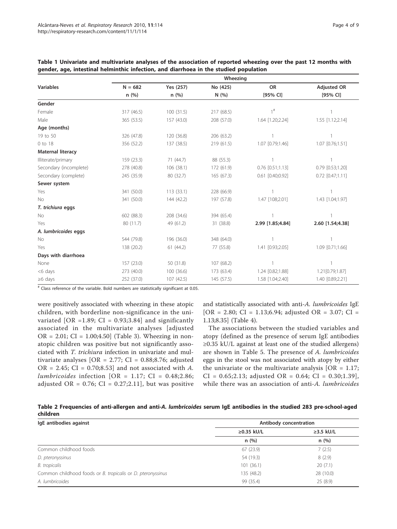|                          | Wheezing   |            |            |                      |                      |  |
|--------------------------|------------|------------|------------|----------------------|----------------------|--|
| <b>Variables</b>         | $N = 682$  | Yes (257)  | No (425)   | <b>OR</b>            | <b>Adjusted OR</b>   |  |
|                          | n(%)       | n(%)       | N(%)       | [95% CI]             | [95% CI]             |  |
| Gender                   |            |            |            |                      |                      |  |
| Female                   | 317 (46.5) | 100(31.5)  | 217 (68.5) | $1$ <sup>#</sup>     |                      |  |
| Male                     | 365 (53.5) | 157 (43.0) | 208 (57.0) | 1.64 [1.20;2.24]     | 1.55 [1.12;2.14]     |  |
| Age (months)             |            |            |            |                      |                      |  |
| 19 to 50                 | 326 (47.8) | 120 (36.8) | 206 (63.2) |                      |                      |  |
| 0 to 18                  | 356 (52.2) | 137 (38.5) | 219 (61.5) | 1.07 [0.79;1.46]     | 1.07 [0.76;1.51]     |  |
| <b>Maternal literacy</b> |            |            |            |                      |                      |  |
| Illiterate/primary       | 159 (23.3) | 71 (44.7)  | 88 (55.3)  |                      |                      |  |
| Secondary (incomplete)   | 278 (40.8) | 106 (38.1) | 172 (61.9) | $0.76$ [0.51;1.13]   | $0.79$ $[0.53;1.20]$ |  |
| Secondary (complete)     | 245 (35.9) | 80 (32.7)  | 165 (67.3) | $0.61$ $[0.40;0.92]$ | $0.72$ $[0.47;1.11]$ |  |
| Sewer system             |            |            |            |                      |                      |  |
| Yes                      | 341 (50.0) | 113(33.1)  | 228 (66.9) |                      |                      |  |
| No                       | 341 (50.0) | 144 (42.2) | 197 (57.8) | 1.47 [108;2.01]      | 1.43 [1.04;1.97]     |  |
| T. trichiura eggs        |            |            |            |                      |                      |  |
| No                       | 602 (88.3) | 208 (34.6) | 394 (65.4) |                      |                      |  |
| Yes                      | 80 (11.7)  | 49 (61.2)  | 31 (38.8)  | 2.99 [1.85;4.84]     | 2.60 [1.54;4.38]     |  |
| A. lumbricoides eggs     |            |            |            |                      |                      |  |
| No                       | 544 (79.8) | 196 (36.0) | 348 (64.0) |                      |                      |  |
| Yes                      | 138 (20.2) | 61(44.2)   | 77 (55.8)  | 1.41 [0.93;2.05]     | 1.09 [0.71;1.66]     |  |
| Days with diarrhoea      |            |            |            |                      |                      |  |
| None                     | 157 (23.0) | 50 (31.8)  | 107 (68.2) | $\overline{1}$       |                      |  |
| <6 days                  | 273 (40.0) | 100 (36.6) | 173 (63.4) | 1.24 [0.82;1.88]     | 1.21[0.79;1.87]      |  |
| $\geq 6$ days            | 252 (37.0) | 107 (42.5) | 145 (57.5) | 1.58 [1.04;2.40]     | 1.40 [0.89;2.21]     |  |

<span id="page-3-0"></span>Table 1 Univariate and multivariate analyses of the association of reported wheezing over the past 12 months with gender, age, intestinal helminthic infection, and diarrhoea in the studied population

# Class reference of the variable. Bold numbers are statistically significant at 0.05.

were positively associated with wheezing in these atopic children, with borderline non-significance in the univariated  $[OR = 1.89; CI = 0.93;3.84]$  and significantly associated in the multivariate analyses [adjusted  $OR = 2.01$ ;  $CI = 1.00;4.50$  (Table [3\)](#page-4-0). Wheezing in nonatopic children was positive but not significantly associated with T. trichiura infection in univariate and multivariate analyses [OR =  $2.77$ ; CI = 0.88;8.76; adjusted OR = 2.45; CI =  $0.70;8.53$ ] and not associated with A. lumbricoides infection [OR = 1.17; CI =  $0.48;2.86;$ adjusted OR =  $0.76$ ; CI =  $0.27$ ; 2.11], but was positive

and statistically associated with anti-A. lumbricoides IgE  $[OR = 2.80; CI = 1.13; 6.94; adjusted OR = 3.07; CI =$ 1.13;8.35] (Table [4\)](#page-4-0).

The associations between the studied variables and atopy (defined as the presence of serum IgE antibodies ≥0.35 kU/L against at least one of the studied allergens) are shown in Table [5](#page-5-0). The presence of A. lumbricoides eggs in the stool was not associated with atopy by either the univariate or the multivariate analysis  $[OR = 1.17;$  $CI = 0.65; 2.13;$  adjusted  $OR = 0.64; CI = 0.30; 1.39$ ], while there was an association of anti-A. *lumbricoides* 

Table 2 Frequencies of anti-allergen and anti-A. lumbricoides serum IgE antibodies in the studied 283 pre-school-aged children

| IgE antibodies against                                      | Antibody concentration |                 |  |  |
|-------------------------------------------------------------|------------------------|-----------------|--|--|
|                                                             | $\geq$ 0.35 kU/L       | $\geq$ 3.5 kU/L |  |  |
|                                                             | n(%)                   | n(%)            |  |  |
| Common childhood foods                                      | 67 (23.9)              | 7(2.5)          |  |  |
| D. pteronyssinus                                            | 54 (19.3)              | 8(2.9)          |  |  |
| B. tropicalis                                               | 101(36.1)              | 20(7.1)         |  |  |
| Common childhood foods or B. tropicalis or D. pteronyssinus | 135 (48.2)             | 28 (10.0)       |  |  |
| A. lumbricoides                                             | 99 (35.4)              | 25(8.9)         |  |  |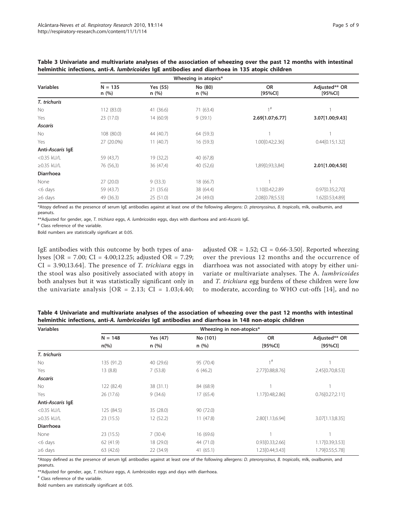|                                                                                                                    |                   | Wheezing in atopics* |                                                |                      |                          |
|--------------------------------------------------------------------------------------------------------------------|-------------------|----------------------|------------------------------------------------|----------------------|--------------------------|
| <b>Variables</b>                                                                                                   | $N = 135$<br>n(%) | Yes (55)<br>n(%)     | No (80)<br>n(%)                                | <b>OR</b><br>[95%CI] | Adjusted** OR<br>[95%CI] |
| T. trichuris                                                                                                       |                   |                      |                                                |                      |                          |
| No                                                                                                                 | 112 (83.0)        | 41 (36.6)            | 71 (63.4)                                      | 1#                   |                          |
| Yes                                                                                                                | 23 (17.0)         | 14 (60.9)            | 9(39.1)                                        | 2.69[1.07;6.77]      | 3.07[1.00;9.43]          |
| <b>Ascaris</b>                                                                                                     |                   |                      |                                                |                      |                          |
| <b>No</b>                                                                                                          | 108 (80.0)        | 44 (40.7)            | 64 (59.3)                                      |                      |                          |
| Yes                                                                                                                | 27 (20.0%)        | 11(40.7)             | 16(59.3)                                       | 1.00[0.42;2.36]      | 0.44[0.15;1.32]          |
| Anti-Ascaris IgE                                                                                                   |                   |                      |                                                |                      |                          |
| <0.35 kU/L                                                                                                         | 59 (43,7)         | 19 (32,2)            | 40 (67,8)                                      |                      |                          |
| $\geq$ 0.35 kU/L                                                                                                   | 76 (56,3)         | 36 (47,4)            | 40 (52,6)                                      | 1,89[0,93;3,84]      | 2.01[1.00;4.50]          |
| <b>Diarrhoea</b>                                                                                                   |                   |                      |                                                |                      |                          |
| None                                                                                                               | 27(20.0)          | 9(33.3)              | 18 (66.7)                                      |                      |                          |
| <6 days                                                                                                            | 59 (43.7)         | 21(35.6)             | 38 (64.4)                                      | 1.10[0.42;2.89       | 0.97[0.35;2,70]          |
| $\geq 6$ days                                                                                                      | 49 (36.3)         | 25(51.0)             | 24 (49.0)                                      | 2.08[0.78;5.53]      | 1.62[0.53;4.89]          |
| $\mathbf{u}$ and $\mathbf{v}$ and $\mathbf{v}$ and $\mathbf{v}$ and $\mathbf{v}$ and $\mathbf{v}$ and $\mathbf{v}$ | $\sim$            |                      | $\cdots$<br>$\sim$ $\sim$ $\sim$ $\sim$ $\sim$ |                      |                          |

<span id="page-4-0"></span>Table 3 Univariate and multivariate analyses of the association of wheezing over the past 12 months with intestinal helminthic infections, anti-A. lumbricoides IgE antibodies and diarrhoea in 135 atopic children

\*Atopy defined as the presence of serum IgE antibodies against at least one of the following allergens: D. pteronyssinus, B. tropicalis, mlk, ovalbumin, and peanuts.

\*\*Adjusted for gender, age, T. trichiura eggs, A. lumbricoides eggs, days with diarrhoea and anti-Ascaris IgE.

# Class reference of the variable.

Bold numbers are statistically significant at 0.05.

IgE antibodies with this outcome by both types of analyses [OR = 7.00; CI = 4.00;12.25; adjusted OR = 7.29;  $CI = 3.90; 13.64$ . The presence of *T. trichiura* eggs in the stool was also positively associated with atopy in both analyses but it was statistically significant only in the univariate analysis  $[OR = 2.13; CI = 1.03; 4.40;$ 

adjusted OR =  $1.52$ ; CI = 0.66-3.50]. Reported wheezing over the previous 12 months and the occurrence of diarrhoea was not associated with atopy by either univariate or multivariate analyses. The A. lumbricoides and T. trichiura egg burdens of these children were low to moderate, according to WHO cut-offs [[14](#page-7-0)], and no

Table 4 Univariate and multivariate analyses of the association of wheezing over the past 12 months with intestinal helminthic infections, anti-A. lumbricoides IgE antibodies and diarrhoea in 148 non-atopic children

| <b>Variables</b> | Wheezing in non-atopics* |           |           |                   |                 |  |
|------------------|--------------------------|-----------|-----------|-------------------|-----------------|--|
|                  | $N = 148$                | Yes (47)  | No (101)  | <b>OR</b>         | Adjusted** OR   |  |
|                  | $n\frac{6}{6}$           | n(%)      | n(%)      | [95%CI]           | $[95\%$ CI]     |  |
| T. trichuris     |                          |           |           |                   |                 |  |
| No.              | 135 (91.2)               | 40 (29.6) | 95 (70.4) | $1$ #             |                 |  |
| Yes              | 13(8.8)                  | 7(53.8)   | 6(46.2)   | 2.77[0.88;8.76]   | 2.45[0.70;8.53] |  |
| <b>Ascaris</b>   |                          |           |           |                   |                 |  |
| No               | 122 (82.4)               | 38 (31.1) | 84 (68.9) |                   |                 |  |
| Yes              | 26 (17.6)                | 9(34.6)   | 17 (65.4) | 1.17[0.48;2.86]   | 0.76[0.27;2.11] |  |
| Anti-Ascaris IgE |                          |           |           |                   |                 |  |
| <0.35 kU/L       | 125 (84.5)               | 35 (28.0) | 90 (72.0) |                   |                 |  |
| $\geq$ 0.35 kU/L | 23 (15.5)                | 12 (52.2) | 11(47.8)  | 2.80 [1.13;6.94]  | 3.07[1.13;8.35] |  |
| <b>Diarrhoea</b> |                          |           |           |                   |                 |  |
| None             | 23 (15.5)                | 7(30.4)   | 16 (69.6) |                   |                 |  |
| <6 days          | 62 (41.9)                | 18 (29.0) | 44 (71.0) | 0.93[0.33;2.66]   | 1.17[0.39;3.53] |  |
| $\geq 6$ days    | 63 (42.6)                | 22 (34.9) | 41(65.1)  | 1.23 [0.44; 3.43] | 1.79[0.55;5.78] |  |

\*Atopy defined as the presence of serum IgE antibodies against at least one of the following allergens: D. pteronyssinus, B. tropicalis, mlk, ovalbumin, and peanuts

\*\*Adjusted for gender, age, T. trichiura eggs, A. lumbricoides eggs and days with diarrhoea.

# Class reference of the variable.

Bold numbers are statistically significant at 0.05.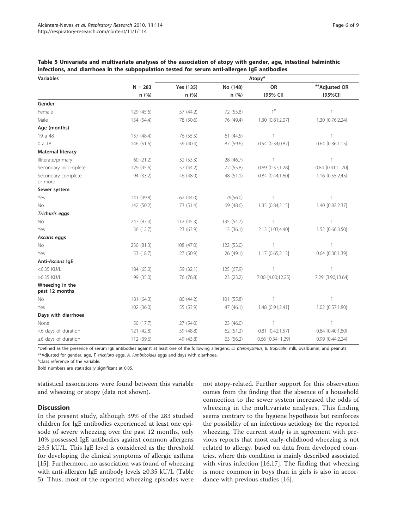| <b>Variables</b>                  | Atopy*     |            |            |                      |                      |  |  |
|-----------------------------------|------------|------------|------------|----------------------|----------------------|--|--|
|                                   | $N = 283$  | Yes (135)  | No (148)   | <b>OR</b>            | ##Adjusted OR        |  |  |
|                                   | n(%)       | n(%)       | n(%)       | [95% CI]             | [95%CI]              |  |  |
| Gender                            |            |            |            |                      |                      |  |  |
| Female                            | 129 (45.6) | 57 (44.2)  | 72 (55.8)  | $1^{\#}$             | $\mathbf{1}$         |  |  |
| Male                              | 154 (54.4) | 78 (50.6)  | 76 (49.4)  | 1.30 [0.81;2.07]     | 1.30 [0.76;2.24]     |  |  |
| Age (months)                      |            |            |            |                      |                      |  |  |
| 19 a 48                           | 137 (48.4) | 76 (55.5)  | 61(44.5)   | $\mathbf{1}$         | 1                    |  |  |
| 0 a 18                            | 146 (51.6) | 59 (40.4)  | 87 (59.6)  | 0.54 [0.34;0.87]     | $0.64$ [0.36;1.15]   |  |  |
| <b>Maternal literacy</b>          |            |            |            |                      |                      |  |  |
| Illiterate/primary                | 60 (21.2)  | 32 (53.3)  | 28 (46.7)  | $\mathbf{1}$         |                      |  |  |
| Secondary incomplete              | 129 (45.6) | 57 (44.2)  | 72 (55.8)  | 0.69 [0.37;1.28]     | $0.84$ $[0.41;1.70]$ |  |  |
| Secondary complete<br>or more     | 94 (33.2)  | 46 (48.9)  | 48 (51.1)  | $0.84$ $[0.44;1.60]$ | 1.16 [0.55;2.45]     |  |  |
| Sewer system                      |            |            |            |                      |                      |  |  |
| Yes                               | 141 (49.8) | 62 (44.0)  | 79(56.0)   | $\mathbf{1}$         | 1                    |  |  |
| No                                | 142 (50.2) | 73 (51.4)  | 69 (48.6)  | 1.35 [0.84;2.15]     | 1.40 [0.82;2.37]     |  |  |
| <b>Trichuris eggs</b>             |            |            |            |                      |                      |  |  |
| No                                | 247 (87.3) | 112 (45.3) | 135 (54.7) | 1                    |                      |  |  |
| Yes                               | 36 (12.7)  | 23 (63.9)  | 13(36.1)   | 2.13 [1.03;4.40]     | 1.52 [0.66;3.50]     |  |  |
| Ascaris eggs                      |            |            |            |                      |                      |  |  |
| No                                | 230 (81.3) | 108 (47.0) | 122 (53.0) | 1                    |                      |  |  |
| Yes                               | 53 (18.7)  | 27 (50.9)  | 26 (49.1)  | 1.17 [0.65;2.13]     | 0.64 [0.30;1.39]     |  |  |
| Anti-Ascaris IgE                  |            |            |            |                      |                      |  |  |
| <0.35 KU/L                        | 184 (65,0) | 59 (32,1)  | 125 (67,9) | $\mathbf{1}$         | 1                    |  |  |
| $\geq$ 0.35 KU/L                  | 99 (35,0)  | 76 (76,8)  | 23 (23,2)  | 7.00 [4.00;12.25]    | 7.29 [3.90;13.64]    |  |  |
| Wheezing in the<br>past 12 months |            |            |            |                      |                      |  |  |
| No                                | 181 (64.0) | 80 (44.2)  | 101 (55.8) |                      |                      |  |  |
| Yes                               | 102 (36.0) | 55 (53.9)  | 47(46.1)   | 1.48 [0.91;2.41]     | 1.02 [0.57;1.80]     |  |  |
| Days with diarrhoea               |            |            |            |                      |                      |  |  |
| None                              | 50 (17.7)  | 27 (54.0)  | 23 (46.0)  | $\mathbf{1}$         | $\mathbf{1}$         |  |  |
| <6 days of duration               | 121 (42.8) | 59 (48.8)  | 62 (51.2)  | $0.81$ $[0.42;1.57]$ | 0.84 [0.40;1.80]     |  |  |
| $\geq 6$ days of duration         | 112 (39.6) | 49 (43.8)  | 63 (56.2)  | 0.66 [0.34; 1.29]    | 0.99 [0.44;2.24]     |  |  |

<span id="page-5-0"></span>Table 5 Univariate and multivariate analyses of the association of atopy with gender, age, intestinal helminthic infections, and diarrhoea in the subpopulation tested for serum anti-allergen IgE antibodies

\*Defined as the presence of serum IgE antibodies against at least one of the following allergens: D. pteronyssinus, B. tropicalis, mlk, ovalbumin, and peanuts. \*\*Adjusted for gender, age, T. trichiura eggs, A. lumbricoides eggs and days with diarrhoea.

# Class reference of the variable.

Bold numbers are statistically significant at 0.05.

statistical associations were found between this variable and wheezing or atopy (data not shown).

## **Discussion**

In the present study, although 39% of the 283 studied children for IgE antibodies experienced at least one episode of severe wheezing over the past 12 months, only 10% possessed IgE antibodies against common allergens ≥3.5 kU/L. This IgE level is considered as the threshold for developing the clinical symptoms of allergic asthma [[15\]](#page-7-0). Furthermore, no association was found of wheezing with anti-allergen IgE antibody levels ≥0.35 kU/L (Table 5). Thus, most of the reported wheezing episodes were not atopy-related. Further support for this observation comes from the finding that the absence of a household connection to the sewer system increased the odds of wheezing in the multivariate analyses. This finding seems contrary to the hygiene hypothesis but reinforces the possibility of an infectious aetiology for the reported wheezing. The current study is in agreement with previous reports that most early-childhood wheezing is not related to allergy, based on data from developed countries, where this condition is mainly described associated with virus infection [[16,17](#page-7-0)]. The finding that wheezing is more common in boys than in girls is also in accordance with previous studies [[16\]](#page-7-0).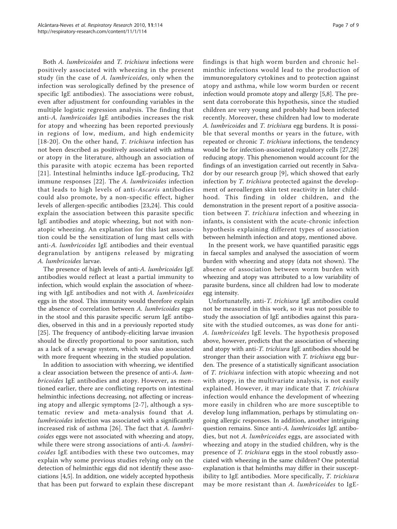Both A. lumbricoides and T. trichiura infections were positively associated with wheezing in the present study (in the case of A. lumbricoides, only when the infection was serologically defined by the presence of specific IgE antibodies). The associations were robust, even after adjustment for confounding variables in the multiple logistic regression analysis. The finding that anti-A. lumbricoides IgE antibodies increases the risk for atopy and wheezing has been reported previously in regions of low, medium, and high endemicity [[18](#page-7-0)-[20](#page-7-0)]. On the other hand, T. trichiura infection has not been described as positively associated with asthma or atopy in the literature, although an association of this parasite with atopic eczema has been reported [[21\]](#page-7-0). Intestinal helminths induce IgE-producing, Th2 immune responses [\[22\]](#page-7-0). The A. lumbricoides infection that leads to high levels of anti-Ascaris antibodies could also promote, by a non-specific effect, higher levels of allergen-specific antibodies [\[23](#page-7-0),[24\]](#page-8-0). This could explain the association between this parasite specific IgE antibodies and atopic wheezing, but not with nonatopic wheezing. An explanation for this last association could be the sensitization of lung mast cells with anti-A. lumbricoides IgE antibodies and their eventual degranulation by antigens released by migrating A. lumbricoides larvae.

The presence of high levels of anti-A. lumbricoides IgE antibodies would reflect at least a partial immunity to infection, which would explain the association of wheezing with IgE antibodies and not with A. lumbricoides eggs in the stool. This immunity would therefore explain the absence of correlation between A. lumbricoides eggs in the stool and this parasite specific serum IgE antibodies, observed in this and in a previously reported study [[25\]](#page-8-0). The frequency of antibody-eliciting larvae invasion should be directly proportional to poor sanitation, such as a lack of a sewage system, which was also associated with more frequent wheezing in the studied population.

In addition to association with wheezing, we identified a clear association between the presence of anti-A. lumbricoides IgE antibodies and atopy. However, as mentioned earlier, there are conflicting reports on intestinal helminthic infections decreasing, not affecting or increasing atopy and allergic symptoms [[2](#page-7-0)-[7\]](#page-7-0), although a systematic review and meta-analysis found that A. lumbricoides infection was associated with a significantly increased risk of asthma [[26](#page-8-0)]. The fact that A. lumbricoides eggs were not associated with wheezing and atopy, while there were strong associations of anti-A. lumbricoides IgE antibodies with these two outcomes, may explain why some previous studies relying only on the detection of helminthic eggs did not identify these associations [[4,5\]](#page-7-0). In addition, one widely accepted hypothesis that has been put forward to explain these discrepant findings is that high worm burden and chronic helminthic infections would lead to the production of immunoregulatory cytokines and to protection against atopy and asthma, while low worm burden or recent infection would promote atopy and allergy [\[5,8\]](#page-7-0). The present data corroborate this hypothesis, since the studied children are very young and probably had been infected recently. Moreover, these children had low to moderate A. lumbricoides and T. trichiura egg burdens. It is possible that several months or years in the future, with repeated or chronic T. trichiura infections, the tendency would be for infection-associated regulatory cells [\[27,28](#page-8-0)] reducing atopy. This phenomenon would account for the findings of an investigation carried out recently in Salvador by our research group [[9](#page-7-0)], which showed that early infection by T. trichiura protected against the development of aeroallergen skin test reactivity in later childhood. This finding in older children, and the demonstration in the present report of a positive association between T. trichiura infection and wheezing in infants, is consistent with the acute-chronic infection hypothesis explaining different types of association between helminth infection and atopy, mentioned above.

In the present work, we have quantified parasitic eggs in faecal samples and analysed the association of worm burden with wheezing and atopy (data not shown). The absence of association between worm burden with wheezing and atopy was attributed to a low variability of parasite burdens, since all children had low to moderate egg intensity.

Unfortunatelly, anti-T. trichiura IgE antibodies could not be measured in this work, so it was not possible to study the association of IgE antibodies against this parasite with the studied outcomes, as was done for anti-A. lumbricoides IgE levels. The hypothesis proposed above, however, predicts that the association of wheezing and atopy with anti-T. trichiura IgE antibodies should be stronger than their association with T. trichiura egg burden. The presence of a statistically significant association of T. trichiura infection with atopic wheezing and not with atopy, in the multivariate analysis, is not easily explained. However, it may indicate that T. trichiura infection would enhance the development of wheezing more easily in children who are more susceptible to develop lung inflammation, perhaps by stimulating ongoing allergic responses. In addition, another intriguing question remains. Since anti-A. lumbricoides IgE antibodies, but not A. *lumbricoides* eggs, are associated with wheezing and atopy in the studied children, why is the presence of T. trichiura eggs in the stool robustly associated with wheezing in the same children? One potential explanation is that helminths may differ in their susceptibility to IgE antibodies. More specifically, T. trichiura may be more resistant than A. lumbricoides to IgE-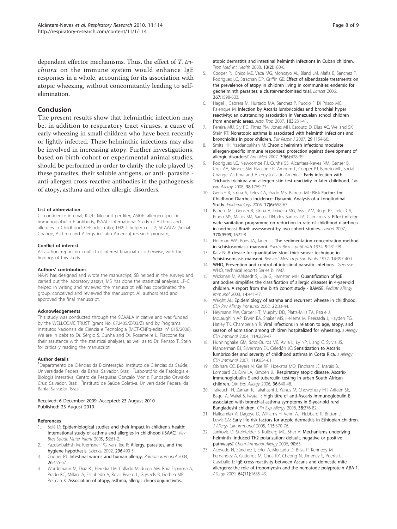<span id="page-7-0"></span>dependent effector mechanisms. Thus, the effect of T. trichiura on the immune system would enhance IgE responses in a whole, accounting for its association with atopic wheezing, without concomitantly leading to selfelimination.

## Conclusion

The present results show that helminthic infection may be, in addition to respiratory tract viruses, a cause of early wheezing in small children who have been recently or lightly infected. These helminthic infections may also be involved in increasing atopy. Further investigations, based on birth-cohort or experimental animal studies, should be performed in order to clarify the role played by these parasites, their soluble antigens, or anti- parasite anti-allergen cross-reactive antibodies in the pathogenesis of atopy, asthma and other allergic disorders.

#### List of abbreviation

CI: confidence interval; KU/L: kilo unit per liter; ASIGE: allergen specific immunoglobulin E antibody; ISAAC: international Study of Asthma and allergies in Childhood; OR: odds ratio; TH2: T helper cells 2; SCAALA: (Social Change, Asthma and Allergy in Latin America) research program;

#### Conflict of interest

All authors report no conflict of interest financial or otherwise, with the findings of this study.

#### Authors' contributions

NA-N has designed and wrote the manuscript; SB helped in the surveys and carried out the laboratory assays; MS has done the statistical analyses; LP-C helped in writing and reviewed the manuscript. MB has coordinated the group, conceived and reviewed the manuscript. All authors read and approved the final manuscript.

#### Acknowledgements

This study was conducted through the SCAALA iniciative and was funded by the WELLCOME TRUST (grant No. 072405/Z/03/Z) and by Programa Institutos Nacionais de Ciência e Tecnologia (MCT-CNPq-edital n° 015/2008). We are in debt to Dr. Sérgio S. Cunha and Dr. Rosemeire L. Fiaccone for their assistance with the statistical analyses, as well as to Dr. Renato T. Stein for critically reading the manuscript.

#### Author details

<sup>1</sup>Departmento de Ciências da Biointeração, Instituto de Ciências da Saúde, Universidade Federal da Bahia, Salvador, Brazil. <sup>2</sup>Laboratório de Patologia e Biologia Interativa, Centro de Pesquisas Gonçalo Moniz, Fundação Oswaldo Cruz, Salvador, Brazil. <sup>3</sup>Instituto de Saúde Coletiva, Universidade Federal da Bahia, Salvador, Brazil.

#### Received: 6 December 2009 Accepted: 23 August 2010 Published: 23 August 2010

#### References

- 1. Solé D: Epidemiological studies and their impact in children's health: international study of asthma and allergies in childhood (ISAAC). Rev Bras Saúde Mater Infant 2005, 5:261-2.
- 2. Yazdanbakhsh M, Kremsner PG, van Ree R: [Allergy, parasites, and the](http://www.ncbi.nlm.nih.gov/pubmed/11964470?dopt=Abstract) [hygiene hypothesis.](http://www.ncbi.nlm.nih.gov/pubmed/11964470?dopt=Abstract) Science 2002, 296:490-5.
- Cooper PJ: [Intestinal worms and human allergy.](http://www.ncbi.nlm.nih.gov/pubmed/15771681?dopt=Abstract) Parasite immunol 2004, 26:455-67.
- 4. Wördemann M, Diaz RJ, Heredia LM, Collado Madurga AM, Ruiz Espinosa A, Prado RC, Millan IA, Escobedo A, Rojas Rivero L, Gryseels B, Gorbea MB, Polman K: [Association of atopy, asthma, allergic rhinoconjunctivitis,](http://www.ncbi.nlm.nih.gov/pubmed/18304263?dopt=Abstract)
- 5. Cooper PJ, Chico ME, Vaca MG, Moncayo AL, Bland JM, Mafla E, Sanchez F, Rodrigues LC, Strachan DP, Griffin GE: [Effect of albendazole treatments on](http://www.ncbi.nlm.nih.gov/pubmed/16698413?dopt=Abstract) [the prevalence of atopy in children living in communities endemic for](http://www.ncbi.nlm.nih.gov/pubmed/16698413?dopt=Abstract) [geohelminth parasites: a cluster-randomised trial.](http://www.ncbi.nlm.nih.gov/pubmed/16698413?dopt=Abstract) Lancet 2006, 367:1598-603.
- 6. Hagel I, Cabrera M, Hurtado MA, Sanchez P, Puccio F, Di Prisco MC, Palenque M: [Infection by Ascaris lumbricoides and bronchial hyper](http://www.ncbi.nlm.nih.gov/pubmed/17698018?dopt=Abstract) [reactivity: an outstanding association in Venezuelan school children](http://www.ncbi.nlm.nih.gov/pubmed/17698018?dopt=Abstract) [from endemic areas.](http://www.ncbi.nlm.nih.gov/pubmed/17698018?dopt=Abstract) Acta Trop 2007, 103:231-41.
- 7. Pereira MU, Sly PD, Pitrez PM, Jones MH, Escouto D, Dias AC, Weiland SK, Stein RT: [Nonatopic asthma is associated with helminth infections and](http://www.ncbi.nlm.nih.gov/pubmed/17331964?dopt=Abstract) [bronchiolitis in poor children.](http://www.ncbi.nlm.nih.gov/pubmed/17331964?dopt=Abstract) Eur Respir J 2007, 29:1154-60.
- 8. Smits HH, Yazdanbakhsh M: [Chronic helminth infections modulate](http://www.ncbi.nlm.nih.gov/pubmed/17852030?dopt=Abstract) [allergen-specific immune responses: protection against development of](http://www.ncbi.nlm.nih.gov/pubmed/17852030?dopt=Abstract) [allergic disorders?](http://www.ncbi.nlm.nih.gov/pubmed/17852030?dopt=Abstract) Ann Med 2007, 39(6):428-39.
- 9. Rodrigues LC, Newcombe PJ, Cunha SS, Alcantara-Neves NM, Genser B, Cruz AA, Simoes SM, Fiaccone R, Amorim L, Cooper PJ, Barreto ML, Social Change, Asthma and Allergy in Latin Americal: [Early infection with](http://www.ncbi.nlm.nih.gov/pubmed/18547322?dopt=Abstract) [Trichuris trichiura and allergen skin test reactivity in later childhood.](http://www.ncbi.nlm.nih.gov/pubmed/18547322?dopt=Abstract) Clin Exp Allergy 2008, 38:1769-77.
- 10. Genser B, Strina A, Teles CA, Prado MS, Barreto ML: [Risk Factors for](http://www.ncbi.nlm.nih.gov/pubmed/17003687?dopt=Abstract) [Childhood Diarrhea Incidence: Dynamic Analysis of a Longitudinal](http://www.ncbi.nlm.nih.gov/pubmed/17003687?dopt=Abstract) [Study.](http://www.ncbi.nlm.nih.gov/pubmed/17003687?dopt=Abstract) Epidemiology 2006, 17(6):658-67.
- 11. Barreto ML, Genser B, Strina A, Teixeira MG, Assis AM, Rego RF, Teles CA, Prado MS, Matos SM, Santos DN, dos Santos LA, Cairncross S: [Effect of city](http://www.ncbi.nlm.nih.gov/pubmed/17993362?dopt=Abstract)[wide sanitation programme on reduction in rate of childhood diarrhoea](http://www.ncbi.nlm.nih.gov/pubmed/17993362?dopt=Abstract) [in northeast Brazil: assessment by two cohort studies.](http://www.ncbi.nlm.nih.gov/pubmed/17993362?dopt=Abstract) Lancet 2007, 370(9599):1622-8.
- 12. Hoffman WA, Pons JA, Janer JL: The sedimentation concentration method in schistosomiasis mansoni. Puerto Rico J publ Hlth 1934, 9:281-98.
- 13. Katz N: [A device for quantitative stool thick-smear technique in](http://www.ncbi.nlm.nih.gov/pubmed/4675644?dopt=Abstract) [Schistosomiasis mansoni.](http://www.ncbi.nlm.nih.gov/pubmed/4675644?dopt=Abstract) Rev Inst Med Trop Sao Paulo 1972, 14:397-400.
- 14. WHO, Prevention and control of intestinal parasitic infetions. Geneva: WHO, technical reports Series b 1987.
- 15. Wickman M, Ahlstedt S, Lilja G, Hamsten MH: [Quantification of IgE](http://www.ncbi.nlm.nih.gov/pubmed/14675470?dopt=Abstract) [antibodies simplifies the classification of allergic diseases in 4-yaer-old](http://www.ncbi.nlm.nih.gov/pubmed/14675470?dopt=Abstract) [children. A report from the birth cohort study - BAMSE.](http://www.ncbi.nlm.nih.gov/pubmed/14675470?dopt=Abstract) Pediatr Allergy Immunol 2003, 14:441-47.
- 16. Wright AL: [Epidemiology of asthma and recurrent wheeze in childhood.](http://www.ncbi.nlm.nih.gov/pubmed/11803801?dopt=Abstract) Clin Rev Allergy Immunol 2002, 22:33-44
- 17. Heymann PW, Carper HT, Murphy DD, Platts-Mills TA, Patrie J, McLaughlin AP, Erwin EA, Shaker MS, Hellems M, Peerzada J, Hayden FG, Hatley TK, Chamberlain R: [Viral infections in relation to age, atopy, and](http://www.ncbi.nlm.nih.gov/pubmed/15316497?dopt=Abstract) [season of admission among children hospitalized for wheezing.](http://www.ncbi.nlm.nih.gov/pubmed/15316497?dopt=Abstract) J Allergy Clin Immunol 2004, 114:239-47.
- 18. Hunninghake GM, Soto-Quiros ME, Avila L, Ly NP, Liang C, Sylvia JS, Klanderman BJ, Silverman EK, Celedón JC: [Sensitization to Ascaris](http://www.ncbi.nlm.nih.gov/pubmed/17336615?dopt=Abstract) [lumbricoides and severity of childhood asthma in Costa Rica.](http://www.ncbi.nlm.nih.gov/pubmed/17336615?dopt=Abstract) J Allergy Clin Immunol 2007, 119:654-61.
- 19. Obihara CC, Beyers N, Gie RP, Hoekstra MO, Fincham JE, Marais BJ, Lombard CJ, Dini LA, Kimpen JL: [Respiratory atopic disease, Ascaris](http://www.ncbi.nlm.nih.gov/pubmed/16650050?dopt=Abstract)[immunoglobulin E and tuberculin testing in urban South African](http://www.ncbi.nlm.nih.gov/pubmed/16650050?dopt=Abstract) [children.](http://www.ncbi.nlm.nih.gov/pubmed/16650050?dopt=Abstract) Clin Exp Allergy 2006, 36:640-48.
- 20. Takeuchi H, Zaman K, Takahashi J, Yunus M, Chowdhury HR, Arifeen SE, Baqui A, Wakai S, Iwata T: [High titre of anti-Ascaris immunoglobulin E](http://www.ncbi.nlm.nih.gov/pubmed/18070165?dopt=Abstract) [associated with bronchial asthma symptoms in 5-year-old rural](http://www.ncbi.nlm.nih.gov/pubmed/18070165?dopt=Abstract) [Bangladeshi children.](http://www.ncbi.nlm.nih.gov/pubmed/18070165?dopt=Abstract) Clin Exp Allergy 2008, 38:276-82.
- 21. Haileamlak A, Dagoye D, Williams H, Venn AJ, Hubbard R, Britton J, Lewis SA: [Early life risk factors for atopic dermatitis in Ethiopian children.](http://www.ncbi.nlm.nih.gov/pubmed/15696097?dopt=Abstract) J Allergy Clin Immunol 2005, 115:370-76.
- 22. Jankovic D, Steinfelder S, Kullberg MC, Sher A: [Mechanisms underlying](http://www.ncbi.nlm.nih.gov/pubmed/16210903?dopt=Abstract) [helminth- induced Th2 polarization: default, negative or positive](http://www.ncbi.nlm.nih.gov/pubmed/16210903?dopt=Abstract) [pathways?](http://www.ncbi.nlm.nih.gov/pubmed/16210903?dopt=Abstract) Chem Immunol Allergy 2006, 90:65.
- 23. Acevedo N, Sánchez J, Erler A, Mercado D, Briza P, Kennedy M, Fernandez A, Gutierrez M, Chua KY, Cheong N, Jiménez S, Puerta L, Caraballo L: [IgE cross-reactivity between Ascaris and domestic mite](http://www.ncbi.nlm.nih.gov/pubmed/19624559?dopt=Abstract) [allergens: the role of tropomyosin and the nematode polyprotein ABA-1.](http://www.ncbi.nlm.nih.gov/pubmed/19624559?dopt=Abstract) Allergy 2009, 64(11):1635-43.